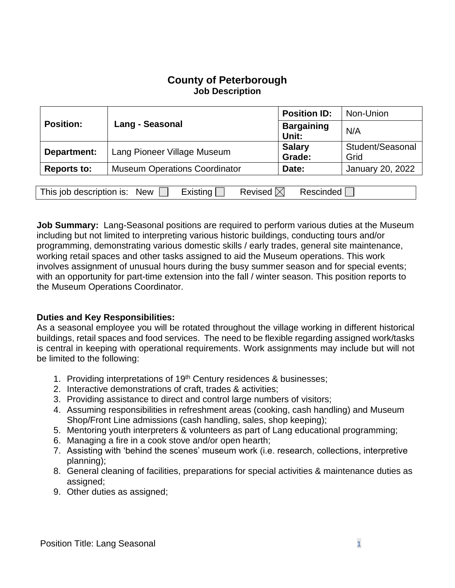# **County of Peterborough Job Description**

| <b>Position:</b>                                                                       | <b>Lang - Seasonal</b>               | <b>Position ID:</b>        | Non-Union                |
|----------------------------------------------------------------------------------------|--------------------------------------|----------------------------|--------------------------|
|                                                                                        |                                      | <b>Bargaining</b><br>Unit: | N/A                      |
| Department:                                                                            | Lang Pioneer Village Museum          | <b>Salary</b><br>Grade:    | Student/Seasonal<br>Grid |
| Reports to:                                                                            | <b>Museum Operations Coordinator</b> | Date:                      | January 20, 2022         |
|                                                                                        |                                      |                            |                          |
| Revised $\boxtimes$<br>Existing<br><b>Rescinded</b><br>This job description is:<br>New |                                      |                            |                          |

**Job Summary:** Lang-Seasonal positions are required to perform various duties at the Museum including but not limited to interpreting various historic buildings, conducting tours and/or programming, demonstrating various domestic skills / early trades, general site maintenance, working retail spaces and other tasks assigned to aid the Museum operations. This work involves assignment of unusual hours during the busy summer season and for special events; with an opportunity for part-time extension into the fall / winter season. This position reports to the Museum Operations Coordinator.

#### **Duties and Key Responsibilities:**

As a seasonal employee you will be rotated throughout the village working in different historical buildings, retail spaces and food services. The need to be flexible regarding assigned work/tasks is central in keeping with operational requirements. Work assignments may include but will not be limited to the following:

- 1. Providing interpretations of 19<sup>th</sup> Century residences & businesses;
- 2. Interactive demonstrations of craft, trades & activities;
- 3. Providing assistance to direct and control large numbers of visitors;
- 4. Assuming responsibilities in refreshment areas (cooking, cash handling) and Museum Shop/Front Line admissions (cash handling, sales, shop keeping);
- 5. Mentoring youth interpreters & volunteers as part of Lang educational programming;
- 6. Managing a fire in a cook stove and/or open hearth;
- 7. Assisting with 'behind the scenes' museum work (i.e. research, collections, interpretive planning);
- 8. General cleaning of facilities, preparations for special activities & maintenance duties as assigned;
- 9. Other duties as assigned;